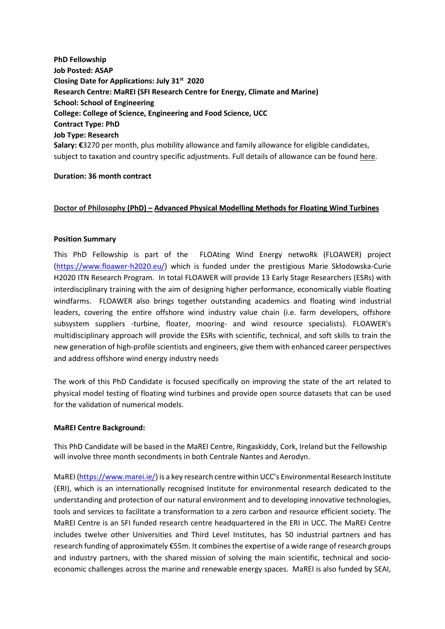**PhD Fellowship Job Posted: ASAP Closing Date for Applications: July 31st 2020 Research Centre: MaREI (SFI Research Centre for Energy, Climate and Marine) School: School of Engineering College: College of Science, Engineering and Food Science, UCC Contract Type: PhD Job Type: Research Salary: €**3270 per month, plus mobility allowance and family allowance for eligible candidates, subject to taxation and country specific adjustments. Full details of allowance can be found [here.](https://ec.europa.eu/research/mariecurieactions/sites/mariecurie2/files/msca-itn-fellows-note_en_v2.pdf)

## **Duration: 36 month contract**

## **Doctor of Philosophy (PhD) – Advanced Physical Modelling Methods for Floating Wind Turbines**

## **Position Summary**

This PhD Fellowship is part of the FLOAting Wind Energy netwoRk (FLOAWER) project [\(https://www.floawer-h2020.eu/\)](https://www.floawer-h2020.eu/) which is funded under the prestigious Marie Skłodowska-Curie H2020 ITN Research Program. In total FLOAWER will provide 13 Early Stage Researchers (ESRs) with interdisciplinary training with the aim of designing higher performance, economically viable floating windfarms. FLOAWER also brings together outstanding academics and floating wind industrial leaders, covering the entire offshore wind industry value chain (i.e. farm developers, offshore subsystem suppliers -turbine, floater, mooring- and wind resource specialists). FLOAWER's multidisciplinary approach will provide the ESRs with scientific, technical, and soft skills to train the new generation of high-profile scientists and engineers, give them with enhanced career perspectives and address offshore wind energy industry needs

The work of this PhD Candidate is focused specifically on improving the state of the art related to physical model testing of floating wind turbines and provide open source datasets that can be used for the validation of numerical models.

#### **MaREI Centre Background:**

This PhD Candidate will be based in the MaREI Centre, Ringaskiddy, Cork, Ireland but the Fellowship will involve three month secondments in both Centrale Nantes and Aerodyn.

MaREI [\(https://www.marei.ie/\)](https://www.marei.ie/) is a key research centre within UCC's Environmental Research Institute (ERI), which is an internationally recognised Institute for environmental research dedicated to the understanding and protection of our natural environment and to developing innovative technologies, tools and services to facilitate a transformation to a zero carbon and resource efficient society. The MaREI Centre is an SFI funded research centre headquartered in the ERI in UCC. The MaREI Centre includes twelve other Universities and Third Level Institutes, has 50 industrial partners and has research funding of approximately €55m. It combines the expertise of a wide range of research groups and industry partners, with the shared mission of solving the main scientific, technical and socioeconomic challenges across the marine and renewable energy spaces. MaREI is also funded by SEAI,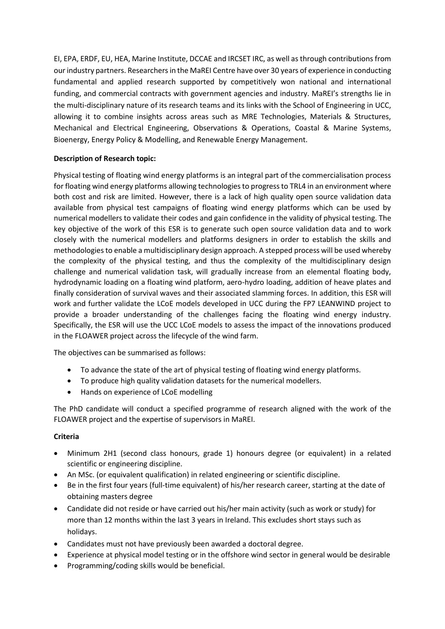EI, EPA, ERDF, EU, HEA, Marine Institute, DCCAE and IRCSET IRC, as well as through contributions from our industry partners. Researchers in the MaREI Centre have over 30 years of experience in conducting fundamental and applied research supported by competitively won national and international funding, and commercial contracts with government agencies and industry. MaREI's strengths lie in the multi-disciplinary nature of its research teams and its links with the School of Engineering in UCC, allowing it to combine insights across areas such as MRE Technologies, Materials & Structures, Mechanical and Electrical Engineering, Observations & Operations, Coastal & Marine Systems, Bioenergy, Energy Policy & Modelling, and Renewable Energy Management.

# **Description of Research topic:**

Physical testing of floating wind energy platforms is an integral part of the commercialisation process for floating wind energy platforms allowing technologies to progress to TRL4 in an environment where both cost and risk are limited. However, there is a lack of high quality open source validation data available from physical test campaigns of floating wind energy platforms which can be used by numerical modellers to validate their codes and gain confidence in the validity of physical testing. The key objective of the work of this ESR is to generate such open source validation data and to work closely with the numerical modellers and platforms designers in order to establish the skills and methodologies to enable a multidisciplinary design approach. A stepped process will be used whereby the complexity of the physical testing, and thus the complexity of the multidisciplinary design challenge and numerical validation task, will gradually increase from an elemental floating body, hydrodynamic loading on a floating wind platform, aero-hydro loading, addition of heave plates and finally consideration of survival waves and their associated slamming forces. In addition, this ESR will work and further validate the LCoE models developed in UCC during the FP7 LEANWIND project to provide a broader understanding of the challenges facing the floating wind energy industry. Specifically, the ESR will use the UCC LCoE models to assess the impact of the innovations produced in the FLOAWER project across the lifecycle of the wind farm.

The objectives can be summarised as follows:

- To advance the state of the art of physical testing of floating wind energy platforms.
- To produce high quality validation datasets for the numerical modellers.
- Hands on experience of LCoE modelling

The PhD candidate will conduct a specified programme of research aligned with the work of the FLOAWER project and the expertise of supervisors in MaREI.

## **Criteria**

- Minimum 2H1 (second class honours, grade 1) honours degree (or equivalent) in a related scientific or engineering discipline.
- An MSc. (or equivalent qualification) in related engineering or scientific discipline.
- Be in the first four years (full-time equivalent) of his/her research career, starting at the date of obtaining masters degree
- Candidate did not reside or have carried out his/her main activity (such as work or study) for more than 12 months within the last 3 years in Ireland. This excludes short stays such as holidays.
- Candidates must not have previously been awarded a doctoral degree.
- Experience at physical model testing or in the offshore wind sector in general would be desirable
- Programming/coding skills would be beneficial.